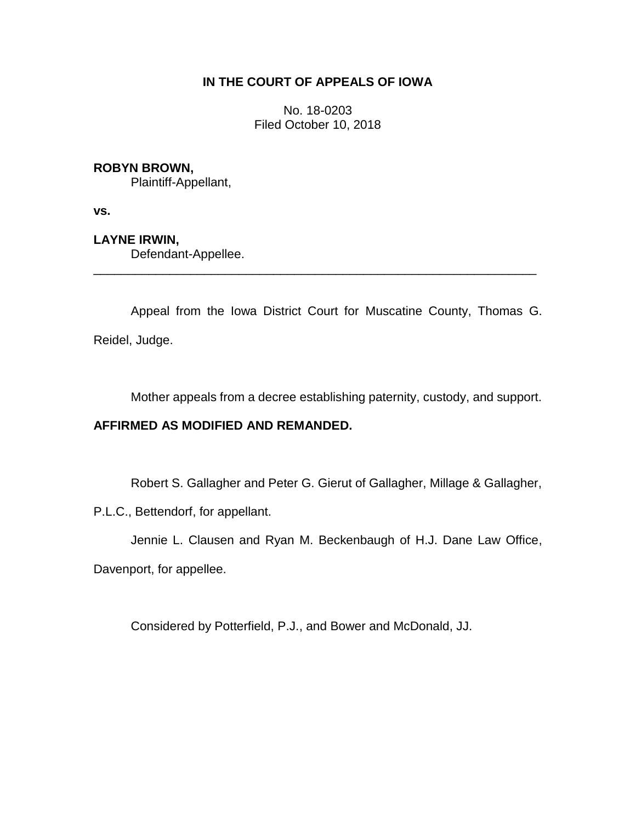# **IN THE COURT OF APPEALS OF IOWA**

No. 18-0203 Filed October 10, 2018

### **ROBYN BROWN,**

Plaintiff-Appellant,

**vs.**

**LAYNE IRWIN,**

Defendant-Appellee.

Appeal from the Iowa District Court for Muscatine County, Thomas G. Reidel, Judge.

\_\_\_\_\_\_\_\_\_\_\_\_\_\_\_\_\_\_\_\_\_\_\_\_\_\_\_\_\_\_\_\_\_\_\_\_\_\_\_\_\_\_\_\_\_\_\_\_\_\_\_\_\_\_\_\_\_\_\_\_\_\_\_\_

Mother appeals from a decree establishing paternity, custody, and support.

# **AFFIRMED AS MODIFIED AND REMANDED.**

Robert S. Gallagher and Peter G. Gierut of Gallagher, Millage & Gallagher,

P.L.C., Bettendorf, for appellant.

Jennie L. Clausen and Ryan M. Beckenbaugh of H.J. Dane Law Office,

Davenport, for appellee.

Considered by Potterfield, P.J., and Bower and McDonald, JJ.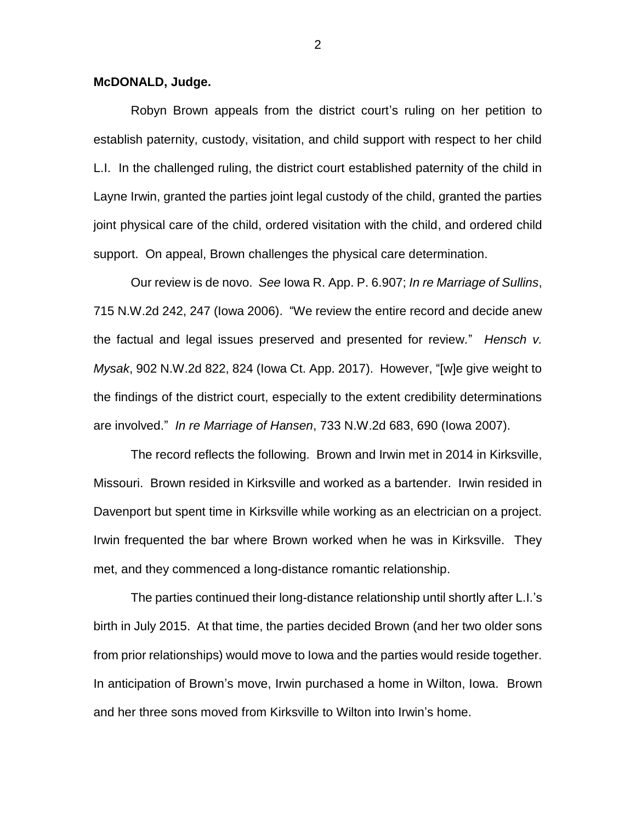#### **McDONALD, Judge.**

Robyn Brown appeals from the district court's ruling on her petition to establish paternity, custody, visitation, and child support with respect to her child L.I. In the challenged ruling, the district court established paternity of the child in Layne Irwin, granted the parties joint legal custody of the child, granted the parties joint physical care of the child, ordered visitation with the child, and ordered child support. On appeal, Brown challenges the physical care determination.

Our review is de novo. *See* Iowa R. App. P. 6.907; *In re Marriage of Sullins*, 715 N.W.2d 242, 247 (Iowa 2006). "We review the entire record and decide anew the factual and legal issues preserved and presented for review." *Hensch v. Mysak*, 902 N.W.2d 822, 824 (Iowa Ct. App. 2017). However, "[w]e give weight to the findings of the district court, especially to the extent credibility determinations are involved." *In re Marriage of Hansen*, 733 N.W.2d 683, 690 (Iowa 2007).

The record reflects the following. Brown and Irwin met in 2014 in Kirksville, Missouri. Brown resided in Kirksville and worked as a bartender. Irwin resided in Davenport but spent time in Kirksville while working as an electrician on a project. Irwin frequented the bar where Brown worked when he was in Kirksville. They met, and they commenced a long-distance romantic relationship.

The parties continued their long-distance relationship until shortly after L.I.'s birth in July 2015. At that time, the parties decided Brown (and her two older sons from prior relationships) would move to Iowa and the parties would reside together. In anticipation of Brown's move, Irwin purchased a home in Wilton, Iowa. Brown and her three sons moved from Kirksville to Wilton into Irwin's home.

2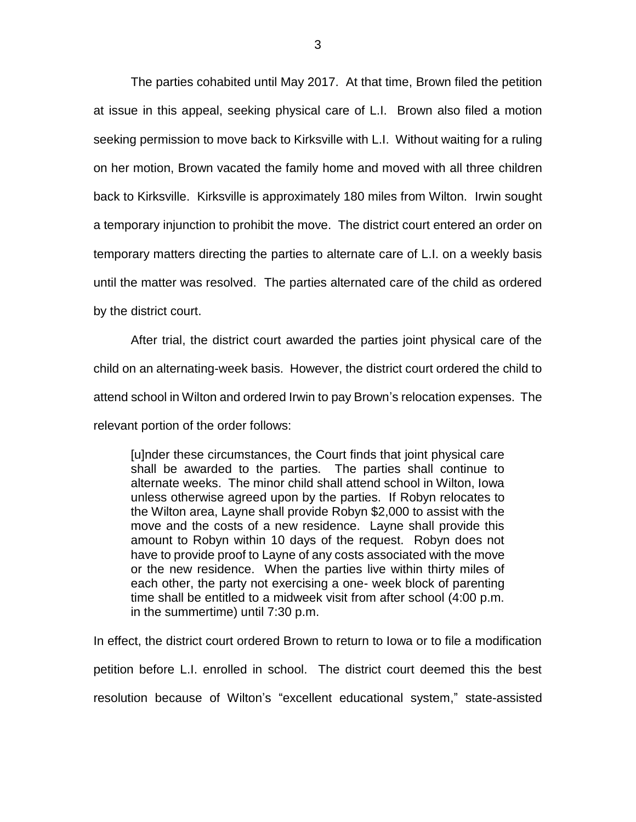The parties cohabited until May 2017. At that time, Brown filed the petition at issue in this appeal, seeking physical care of L.I. Brown also filed a motion seeking permission to move back to Kirksville with L.I. Without waiting for a ruling on her motion, Brown vacated the family home and moved with all three children back to Kirksville. Kirksville is approximately 180 miles from Wilton. Irwin sought a temporary injunction to prohibit the move. The district court entered an order on temporary matters directing the parties to alternate care of L.I. on a weekly basis until the matter was resolved. The parties alternated care of the child as ordered by the district court.

After trial, the district court awarded the parties joint physical care of the child on an alternating-week basis. However, the district court ordered the child to attend school in Wilton and ordered Irwin to pay Brown's relocation expenses. The relevant portion of the order follows:

[u]nder these circumstances, the Court finds that joint physical care shall be awarded to the parties. The parties shall continue to alternate weeks. The minor child shall attend school in Wilton, Iowa unless otherwise agreed upon by the parties. If Robyn relocates to the Wilton area, Layne shall provide Robyn \$2,000 to assist with the move and the costs of a new residence. Layne shall provide this amount to Robyn within 10 days of the request. Robyn does not have to provide proof to Layne of any costs associated with the move or the new residence. When the parties live within thirty miles of each other, the party not exercising a one- week block of parenting time shall be entitled to a midweek visit from after school (4:00 p.m. in the summertime) until 7:30 p.m.

In effect, the district court ordered Brown to return to Iowa or to file a modification petition before L.I. enrolled in school. The district court deemed this the best resolution because of Wilton's "excellent educational system," state-assisted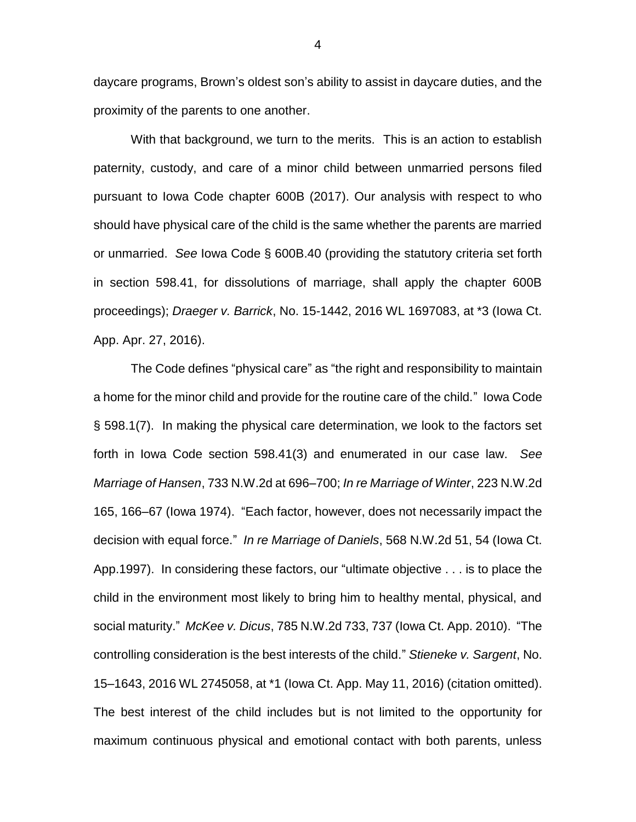daycare programs, Brown's oldest son's ability to assist in daycare duties, and the proximity of the parents to one another.

With that background, we turn to the merits. This is an action to establish paternity, custody, and care of a minor child between unmarried persons filed pursuant to Iowa Code chapter 600B (2017). Our analysis with respect to who should have physical care of the child is the same whether the parents are married or unmarried. *See* Iowa Code § 600B.40 (providing the statutory criteria set forth in section 598.41, for dissolutions of marriage, shall apply the chapter 600B proceedings); *Draeger v. Barrick*, No. 15-1442, 2016 WL 1697083, at \*3 (Iowa Ct. App. Apr. 27, 2016).

The Code defines "physical care" as "the right and responsibility to maintain a home for the minor child and provide for the routine care of the child." Iowa Code § 598.1(7). In making the physical care determination, we look to the factors set forth in Iowa Code section 598.41(3) and enumerated in our case law. *See Marriage of Hansen*, 733 N.W.2d at 696–700; *In re Marriage of Winter*, 223 N.W.2d 165, 166–67 (Iowa 1974). "Each factor, however, does not necessarily impact the decision with equal force." *In re Marriage of Daniels*, 568 N.W.2d 51, 54 (Iowa Ct. App.1997). In considering these factors, our "ultimate objective . . . is to place the child in the environment most likely to bring him to healthy mental, physical, and social maturity." *McKee v. Dicus*, 785 N.W.2d 733, 737 (Iowa Ct. App. 2010). "The controlling consideration is the best interests of the child." *Stieneke v. Sargent*, No. 15–1643, 2016 WL 2745058, at \*1 (Iowa Ct. App. May 11, 2016) (citation omitted). The best interest of the child includes but is not limited to the opportunity for maximum continuous physical and emotional contact with both parents, unless

4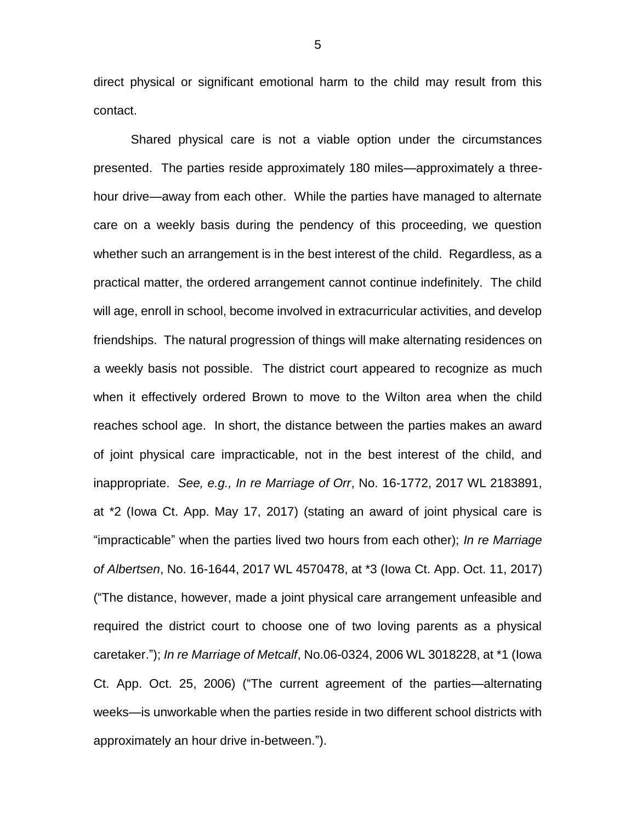direct physical or significant emotional harm to the child may result from this contact.

Shared physical care is not a viable option under the circumstances presented. The parties reside approximately 180 miles—approximately a threehour drive—away from each other. While the parties have managed to alternate care on a weekly basis during the pendency of this proceeding, we question whether such an arrangement is in the best interest of the child. Regardless, as a practical matter, the ordered arrangement cannot continue indefinitely. The child will age, enroll in school, become involved in extracurricular activities, and develop friendships. The natural progression of things will make alternating residences on a weekly basis not possible. The district court appeared to recognize as much when it effectively ordered Brown to move to the Wilton area when the child reaches school age. In short, the distance between the parties makes an award of joint physical care impracticable, not in the best interest of the child, and inappropriate. *See, e.g., In re Marriage of Orr*, No. 16-1772, 2017 WL 2183891, at \*2 (Iowa Ct. App. May 17, 2017) (stating an award of joint physical care is "impracticable" when the parties lived two hours from each other); *In re Marriage of Albertsen*, No. 16-1644, 2017 WL 4570478, at \*3 (Iowa Ct. App. Oct. 11, 2017) ("The distance, however, made a joint physical care arrangement unfeasible and required the district court to choose one of two loving parents as a physical caretaker."); *In re Marriage of Metcalf*, No.06-0324, 2006 WL 3018228, at \*1 (Iowa Ct. App. Oct. 25, 2006) ("The current agreement of the parties—alternating weeks—is unworkable when the parties reside in two different school districts with approximately an hour drive in-between.").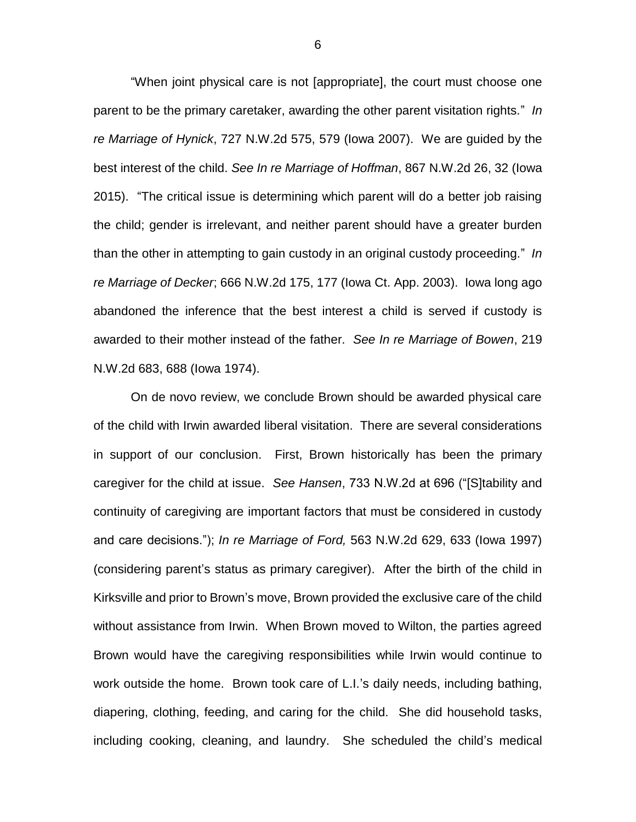"When joint physical care is not [appropriate], the court must choose one parent to be the primary caretaker, awarding the other parent visitation rights." *In re Marriage of Hynick*, 727 N.W.2d 575, 579 (Iowa 2007). We are guided by the best interest of the child. *See In re Marriage of Hoffman*, 867 N.W.2d 26, 32 (Iowa 2015). "The critical issue is determining which parent will do a better job raising the child; gender is irrelevant, and neither parent should have a greater burden than the other in attempting to gain custody in an original custody proceeding." *In re Marriage of Decker*; 666 N.W.2d 175, 177 (Iowa Ct. App. 2003). Iowa long ago abandoned the inference that the best interest a child is served if custody is awarded to their mother instead of the father. *See In re Marriage of Bowen*, 219 N.W.2d 683, 688 (Iowa 1974).

On de novo review, we conclude Brown should be awarded physical care of the child with Irwin awarded liberal visitation. There are several considerations in support of our conclusion. First, Brown historically has been the primary caregiver for the child at issue. *See Hansen*, 733 N.W.2d at 696 ("[S]tability and continuity of caregiving are important factors that must be considered in custody and care decisions."); *In re Marriage of Ford,* 563 N.W.2d 629, 633 (Iowa 1997) (considering parent's status as primary caregiver). After the birth of the child in Kirksville and prior to Brown's move, Brown provided the exclusive care of the child without assistance from Irwin. When Brown moved to Wilton, the parties agreed Brown would have the caregiving responsibilities while Irwin would continue to work outside the home. Brown took care of L.I.'s daily needs, including bathing, diapering, clothing, feeding, and caring for the child. She did household tasks, including cooking, cleaning, and laundry. She scheduled the child's medical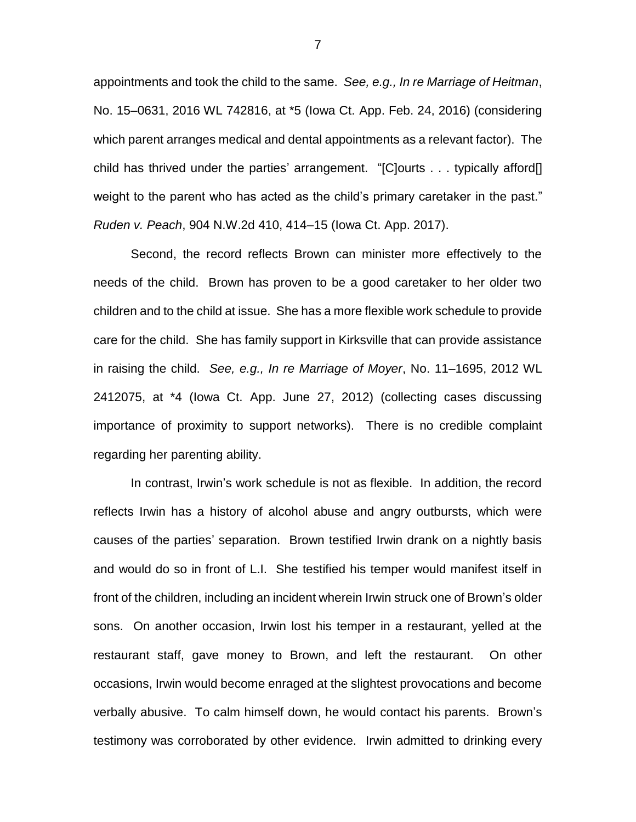appointments and took the child to the same. *See, e.g., In re Marriage of Heitman*, No. 15–0631, 2016 WL 742816, at \*5 (Iowa Ct. App. Feb. 24, 2016) (considering which parent arranges medical and dental appointments as a relevant factor). The child has thrived under the parties' arrangement. "[C]ourts . . . typically afford[] weight to the parent who has acted as the child's primary caretaker in the past." *Ruden v. Peach*, 904 N.W.2d 410, 414–15 (Iowa Ct. App. 2017).

Second, the record reflects Brown can minister more effectively to the needs of the child. Brown has proven to be a good caretaker to her older two children and to the child at issue. She has a more flexible work schedule to provide care for the child. She has family support in Kirksville that can provide assistance in raising the child. *See, e.g., In re Marriage of Moyer*, No. 11–1695, 2012 WL 2412075, at \*4 (Iowa Ct. App. June 27, 2012) (collecting cases discussing importance of proximity to support networks). There is no credible complaint regarding her parenting ability.

In contrast, Irwin's work schedule is not as flexible. In addition, the record reflects Irwin has a history of alcohol abuse and angry outbursts, which were causes of the parties' separation. Brown testified Irwin drank on a nightly basis and would do so in front of L.I. She testified his temper would manifest itself in front of the children, including an incident wherein Irwin struck one of Brown's older sons. On another occasion, Irwin lost his temper in a restaurant, yelled at the restaurant staff, gave money to Brown, and left the restaurant. On other occasions, Irwin would become enraged at the slightest provocations and become verbally abusive. To calm himself down, he would contact his parents. Brown's testimony was corroborated by other evidence. Irwin admitted to drinking every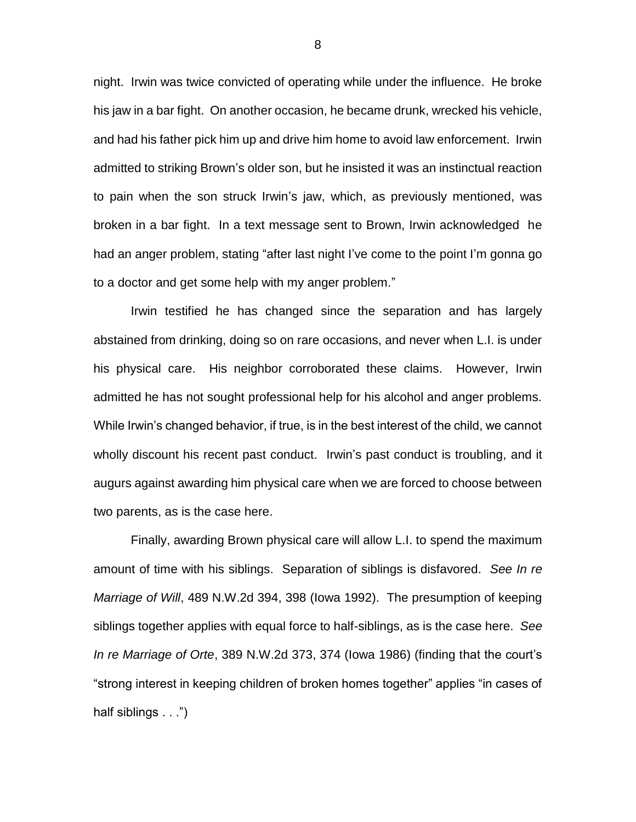night. Irwin was twice convicted of operating while under the influence. He broke his jaw in a bar fight. On another occasion, he became drunk, wrecked his vehicle, and had his father pick him up and drive him home to avoid law enforcement. Irwin admitted to striking Brown's older son, but he insisted it was an instinctual reaction to pain when the son struck Irwin's jaw, which, as previously mentioned, was broken in a bar fight. In a text message sent to Brown, Irwin acknowledged he had an anger problem, stating "after last night I've come to the point I'm gonna go to a doctor and get some help with my anger problem."

Irwin testified he has changed since the separation and has largely abstained from drinking, doing so on rare occasions, and never when L.I. is under his physical care. His neighbor corroborated these claims. However, Irwin admitted he has not sought professional help for his alcohol and anger problems. While Irwin's changed behavior, if true, is in the best interest of the child, we cannot wholly discount his recent past conduct. Irwin's past conduct is troubling, and it augurs against awarding him physical care when we are forced to choose between two parents, as is the case here.

Finally, awarding Brown physical care will allow L.I. to spend the maximum amount of time with his siblings. Separation of siblings is disfavored. *See In re Marriage of Will*, 489 N.W.2d 394, 398 (Iowa 1992). The presumption of keeping siblings together applies with equal force to half-siblings, as is the case here. *See In re Marriage of Orte*, 389 N.W.2d 373, 374 (Iowa 1986) (finding that the court's "strong interest in keeping children of broken homes together" applies "in cases of half siblings . . .")